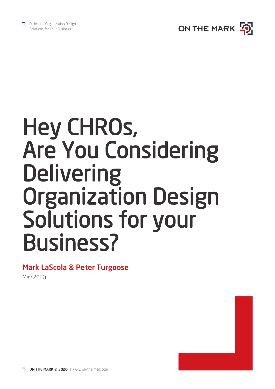



# Hey CHROs, Are You Considering **Delivering** Organization Design Solutions for your Business?

### Mark LaScola & Peter Turgoose

May 2020

ON THE MARK © 2020 | www.on-the-mark.com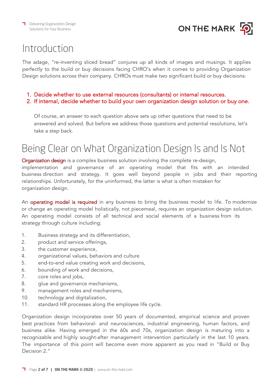

## Introduction

The adage, "re-inventing sliced bread" conjures up all kinds of images and musings. It applies perfectly to the build or buy decisions facing CHRO's when it comes to providing Organization Design solutions across their company. CHROs must make two significant build or buy decisions:

- 1. Decide whether to use external resources (consultants) or internal resources.
- 2. If internal, decide whether to build your own organization design solution or buy one.

Of course, an answer to each question above sets up other questions that need to be answered and solved. But before we address those questions and potential resolutions, let's take a step back.

## Being Clear on What Organization Design Is and Is Not

[Organization design](https://on-the-mark.com/infographic-what-is-organization-design/) is a complex business solution involving the complete re-design, implementation and governance of an operating model that fits with an intended business direction and strategy. It goes well beyond people in jobs and their reporting relationships. Unfortunately, for the uninformed, the latter is what is often mistaken for organization design.

An **[operating model is required](https://on-the-mark.com/when-to-design-target-operating-model/)** in any business to bring the business model to life. To modernize or change an operating model holistically, not piecemeal, requires an organization design solution. An operating model consists of all technical and social elements of a business from its strategy through culture including:

- 1. Business strategy and its differentiation,
- 2. product and service offerings,
- 3. the customer experience,
- 4. organizational values, behaviors and culture
- 5. end-to-end value creating work and decisions,
- 6. bounding of work and decisions,
- 7. core roles and jobs,
- 8. glue and governance mechanisms,
- 9. management roles and mechanisms,
- 10. technology and digitalization,
- 11. standard HR processes along the employee life cycle.

Organization design incorporates over 50 years of documented, empirical science and proven best practices from behavioral- and neurosciences, industrial engineering, human factors, and business alike. Having emerged in the 60s and 70s, organization design is maturing into a recognizable and highly sought-after management intervention particularly in the last 10 years. The importance of this point will become even more apparent as you read in "Build or Buy Decision 2."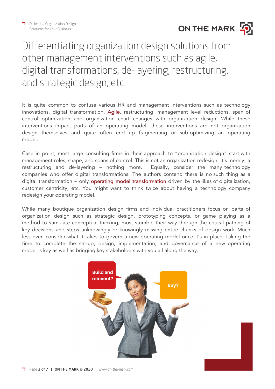

## Differentiating organization design solutions from other management interventions such as agile, digital transformations, de-layering, restructuring, and strategic design, etc.

It is quite common to confuse various HR and management interventions such as technology innovations, digital transformation, [Agile](https://on-the-mark.com/how-to-create-an-agile-organization/), restructuring, management level reductions, span of control optimization and organization chart changes with organization design. While these interventions impact parts of an operating model, these interventions are not organization design themselves and quite often end up fragmenting or sub-optimizing an operating model.

Case in point, most large consulting firms in their approach to "organization design" start with management roles, shape, and spans of control. This is not an organization redesign. It's merely a restructuring and de-layering – nothing more. Equally, consider the many technology companies who offer digital transformations. The authors contend there is no such thing as a digital transformation – only **[operating model transformation](https://on-the-mark.com/considering-operating-model-transformation/)** driven by the likes of digitalization, customer centricity, etc. You might want to think twice about having a technology company redesign your operating model.

While many boutique organization design firms and individual practitioners focus on parts of organization design such as strategic design, prototyping concepts, or game playing as a method to stimulate conceptual thinking, most stumble their way through the critical pathing of key decisions and steps unknowingly or knowingly missing entire chunks of design work. Much less even consider what it takes to govern a new operating model once it's in place. Taking the time to complete the set-up, design, implementation, and governance of a new operating model is key as well as bringing key stakeholders with you all along the way.

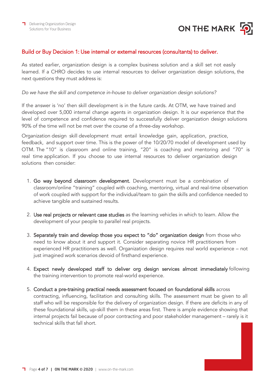

#### Build or Buy Decision 1: Use internal or external resources (consultants) to deliver.

As stated earlier, organization design is a complex business solution and a skill set not easily learned. If a CHRO decides to use internal resources to deliver organization design solutions, the next questions they must address is:

Do we have the skill and competence in-house to deliver organization design solutions?

If the answer is 'no' then skill development is in the future cards. At OTM, we have trained and developed over 5,000 internal change agents in organization design. It is our experience that the level of competence and confidence required to successfully deliver organization design solutions 90% of the time will not be met over the course of a three-day workshop.

Organization design skill development must entail knowledge gain, application, practice, feedback, and support over time. This is the power of the 10/20/70 model of development used by OTM. The "10" is classroom and online training, "20" is coaching and mentoring and "70" is real time application. If you choose to use internal resources to deliver organization design solutions then consider:

- 1. Go way beyond classroom development. Development must be a combination of classroom/online "training" coupled with coaching, mentoring, virtual and real-time observation of work coupled with support for the individual/team to gain the skills and confidence needed to achieve tangible and sustained results.
- 2. Use real projects or relevant case studies as the learning vehicles in which to learn. Allow the development of your people to parallel real projects.
- 3. Separately train and develop those you expect to "do" organization design from those who need to know about it and support it. Consider separating novice HR practitioners from experienced HR practitioners as well. Organization design requires real world experience – not just imagined work scenarios devoid of firsthand experience.
- 4. Expect newly developed staff to deliver org design services almost immediately following the training intervention to promote real-world experience.
- 5. Conduct a pre-training practical needs assessment focused on foundational skills across contracting, influencing, facilitation and consulting skills. The assessment must be given to all staff who will be responsible for the delivery of organization design. If there are deficits in any of these foundational skills, up-skill them in these areas first. There is ample evidence showing that internal projects fail because of poor contracting and poor stakeholder management – rarely is it technical skills that fall short.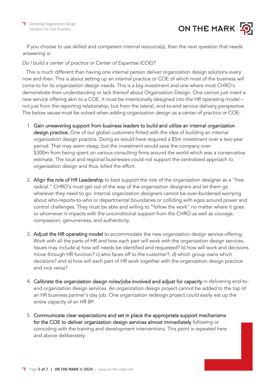

If you choose to use skilled and competent internal resource(s), then the next question that needs answering is:

#### Do I build a center of practice or Center of Expertise (COE)?

This is much different than having one internal person deliver organization design solutions every now and then. This is about setting up an internal practice or COE of which most of the business will come to for its organization design needs. This is a big investment and one where most CHRO's demonstrate their understanding or lack thereof about Organization Design. One cannot just insert a new service offering akin to a COE. It must be intentionally designed into the HR operating model – not just from the reporting relationship, but from the lateral, end-to-end service delivery perspective. The below issues must be solved when adding organization design as a center of practice or COE:

- 1. Gain unwavering support from business leaders to build and utilize an internal organization design practice. One of our global customers flirted with the idea of building an internal organization design practice. Doing so would have required a \$5m investment over a two-year period. That may seem steep, but the investment would save the company over \$300m from being spent on various consulting firms around the world which was a conservative estimate. The local and regional businesses could not support the centralized approach to organization design and thus, killed the effort.
- 2. Align the role of HR Leadership to best support the role of the organization designer as a "free radical." CHRO's must get out of the way of the organization designers and let them go wherever they need to go. Internal organization designers cannot be over-burdened worrying about who-reports-to-who or departmental boundaries or colliding with egos around power and control challenges. They must be able and willing to "follow the work" no matter where it goes or whomever it impacts with the unconditional support from the CHRO as well as courage, compassion, genuineness, and authenticity.
- 3. Adjust the HR operating model to accommodate the new organization design service offering. Work with all the parts of HR and how each part will work with the organization design services. Issues may include a) how will needs be identified and requested? b) how will work and decisions move through HR function? c) who faces off to the customer?, d) which group owns which decisions? and e) how will each part of HR work together with the organization design practice and vice versa?
- 4. Calibrate the organization design roles/jobs involved and adjust for capacity in delivering end-toend organization design services. An organization design project cannot be added to the top of an HR business partner's day job. One organization redesign project could easily eat up the entire capacity of an HR BP.
- 5. Communicate clear expectations and set in place the appropriate support mechanisms for the COE to deliver organization design services almost immediately following or coinciding with the training and development interventions. This point is repeated here and above deliberately.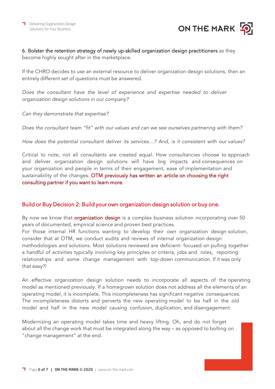



#### 6. Bolster the retention strategy of newly up-skilled organization design practitioners as they become highly sought after in the marketplace.

If the CHRO decides to use an external resource to deliver organization design solutions, then an entirely different set of questions must be answered.

Does the consultant have the level of experience and expertise needed to deliver organization design solutions in our company?

Can they demonstrate that expertise?

Does the consultant team "fit" with our values and can we see ourselves partnering with them?

How does the potential consultant deliver its services…? And, is it consistent with our values?

Critical to note, not all consultants are created equal. How consultancies choose to approach and deliver organization design solutions will have big impacts and consequences on your organization and people in terms of their engagement, ease of implementation and sustainability of the changes. OTM previously has written an article on choosing the right consulting partner if you want to learn more.

#### Build or Buy Decision 2: Build your own organization design solution or buy one.

By now we know that **[organization design](https://on-the-mark.com/infographic-what-is-organization-design/)** is a complex business solution incorporating over 50 years of documented, empirical science and proven best practices. For those internal HR functions wanting to develop their own organization design solution,

consider that at OTM, we conduct audits and reviews of internal organization design methodologies and solutions. Most solutions reviewed are deficient- focused on pulling together a handful of activities typically involving key principles or criteria, jobs and roles, reporting relationships and some change management with top-down communication. If it was only that easy?!

An effective organization design solution needs to incorporate all aspects of the operating model as mentioned previously. If a homegrown solution does not address all the elements of an operating model, it is incomplete. This incompleteness has significant negative consequences. The incompleteness distorts and perverts the new operating model to be half in the old model and half in the new model causing confusion, duplication, and disengagement.

Modernizing an operating model takes time and heavy lifting. Oh, and do not forget about all the change work that must be integrated along the way – as opposed to bolting on "change management" at the end.